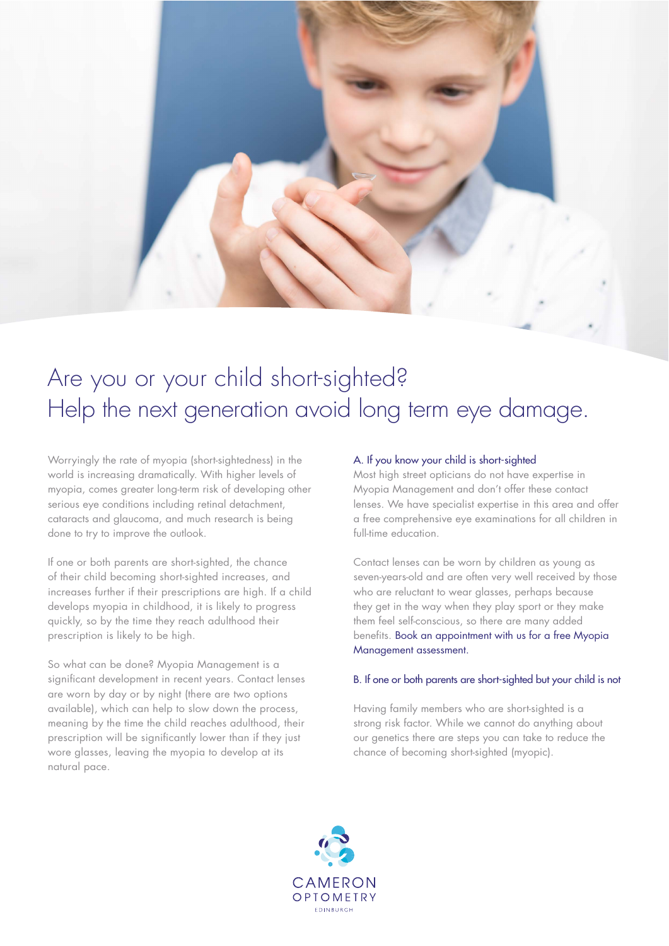

# Are you or your child short-sighted? Help the next generation avoid long term eye damage.

Worryingly the rate of myopia (short-sightedness) in the world is increasing dramatically. With higher levels of myopia, comes greater long-term risk of developing other serious eye conditions including retinal detachment, cataracts and glaucoma, and much research is being done to try to improve the outlook.

If one or both parents are short-sighted, the chance of their child becoming short-sighted increases, and increases further if their prescriptions are high. If a child develops myopia in childhood, it is likely to progress quickly, so by the time they reach adulthood their prescription is likely to be high.

So what can be done? Myopia Management is a significant development in recent years. Contact lenses are worn by day or by night (there are two options available), which can help to slow down the process, meaning by the time the child reaches adulthood, their prescription will be significantly lower than if they just wore glasses, leaving the myopia to develop at its natural pace.

### A. If you know your child is short-sighted

Most high street opticians do not have expertise in Myopia Management and don't offer these contact lenses. We have specialist expertise in this area and offer a free comprehensive eye examinations for all children in full-time education.

Contact lenses can be worn by children as young as seven-years-old and are often very well received by those who are reluctant to wear glasses, perhaps because they get in the way when they play sport or they make them feel self-conscious, so there are many added benefits. [Book an appointment with us for a free Myopia](http://www.cameronoptom.com/about/contact-us/)  [Management assessment.](http://www.cameronoptom.com/about/contact-us/)

#### B. If one or both parents are short-sighted but your child is not

Having family members who are short-sighted is a strong risk factor. While we cannot do anything about our genetics there are steps you can take to reduce the chance of becoming short-sighted (myopic).